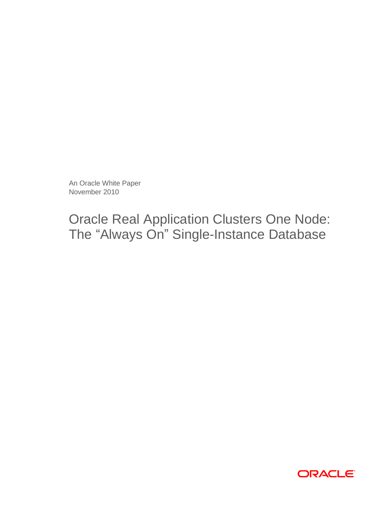An Oracle White Paper November 2010

Oracle Real Application Clusters One Node: The "Always On" Single-Instance Database

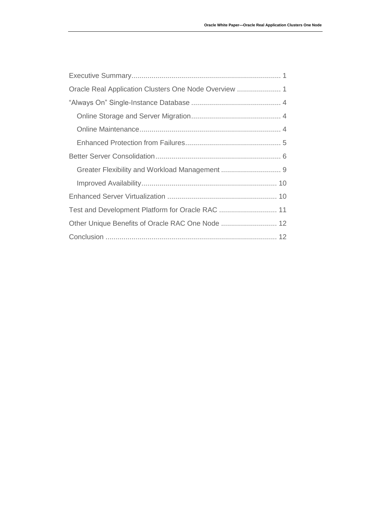| Test and Development Platform for Oracle RAC  11 |  |
|--------------------------------------------------|--|
| Other Unique Benefits of Oracle RAC One Node  12 |  |
|                                                  |  |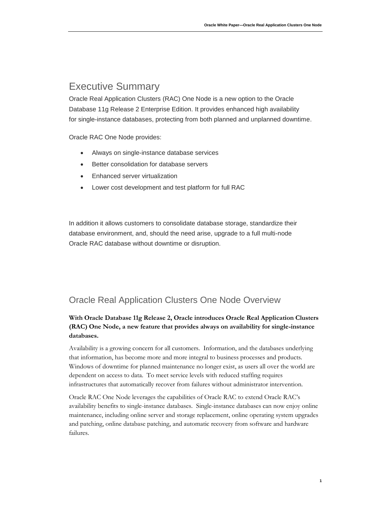# <span id="page-2-0"></span>Executive Summary

Oracle Real Application Clusters (RAC) One Node is a new option to the Oracle Database 11g Release 2 Enterprise Edition. It provides enhanced high availability for single-instance databases, protecting from both planned and unplanned downtime.

Oracle RAC One Node provides:

- Always on single-instance database services
- Better consolidation for database servers
- Enhanced server virtualization
- Lower cost development and test platform for full RAC

In addition it allows customers to consolidate database storage, standardize their database environment, and, should the need arise, upgrade to a full multi-node Oracle RAC database without downtime or disruption.

## <span id="page-2-1"></span>Oracle Real Application Clusters One Node Overview

## **With Oracle Database 11g Release 2, Oracle introduces Oracle Real Application Clusters (RAC) One Node, a new feature that provides always on availability for single-instance databases.**

Availability is a growing concern for all customers. Information, and the databases underlying that information, has become more and more integral to business processes and products. Windows of downtime for planned maintenance no longer exist, as users all over the world are dependent on access to data. To meet service levels with reduced staffing requires infrastructures that automatically recover from failures without administrator intervention.

Oracle RAC One Node leverages the capabilities of Oracle RAC to extend Oracle RAC's availability benefits to single-instance databases. Single-instance databases can now enjoy online maintenance, including online server and storage replacement, online operating system upgrades and patching, online database patching, and automatic recovery from software and hardware failures.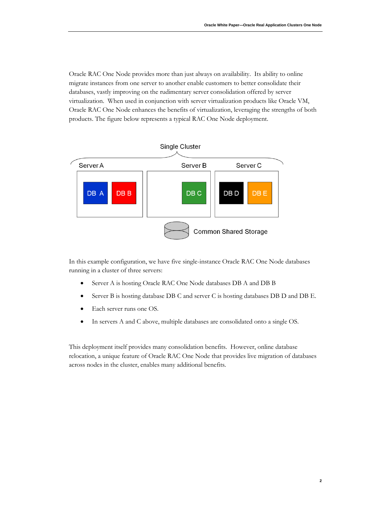Oracle RAC One Node provides more than just always on availability. Its ability to online migrate instances from one server to another enable customers to better consolidate their databases, vastly improving on the rudimentary server consolidation offered by server virtualization. When used in conjunction with server virtualization products like Oracle VM, Oracle RAC One Node enhances the benefits of virtualization, leveraging the strengths of both products. The figure below represents a typical RAC One Node deployment.



In this example configuration, we have five single-instance Oracle RAC One Node databases running in a cluster of three servers:

- Server A is hosting Oracle RAC One Node databases DB A and DB B
- Server B is hosting database DB C and server C is hosting databases DB D and DB E.
- Each server runs one OS.
- In servers A and C above, multiple databases are consolidated onto a single OS.

This deployment itself provides many consolidation benefits. However, online database relocation, a unique feature of Oracle RAC One Node that provides live migration of databases across nodes in the cluster, enables many additional benefits.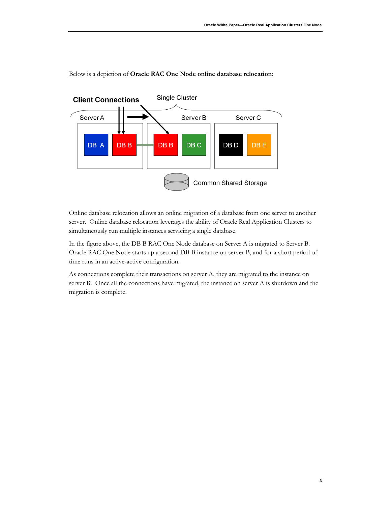

Below is a depiction of **Oracle RAC One Node online database relocation**:

Online database relocation allows an online migration of a database from one server to another server. Online database relocation leverages the ability of Oracle Real Application Clusters to simultaneously run multiple instances servicing a single database.

In the figure above, the DB B RAC One Node database on Server A is migrated to Server B. Oracle RAC One Node starts up a second DB B instance on server B, and for a short period of time runs in an active-active configuration.

As connections complete their transactions on server A, they are migrated to the instance on server B. Once all the connections have migrated, the instance on server A is shutdown and the migration is complete.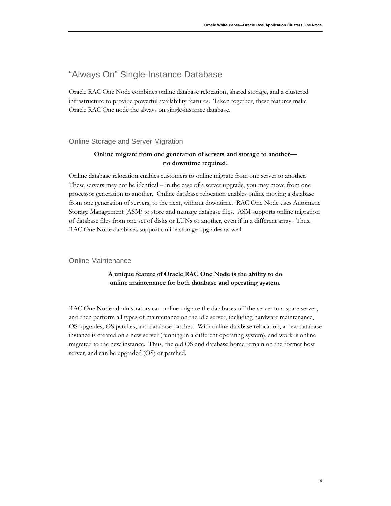## <span id="page-5-0"></span>"Always On" Single-Instance Database

Oracle RAC One Node combines online database relocation, shared storage, and a clustered infrastructure to provide powerful availability features. Taken together, these features make Oracle RAC One node the always on single-instance database.

#### <span id="page-5-1"></span>Online Storage and Server Migration

## **Online migrate from one generation of servers and storage to another no downtime required.**

Online database relocation enables customers to online migrate from one server to another. These servers may not be identical – in the case of a server upgrade, you may move from one processor generation to another. Online database relocation enables online moving a database from one generation of servers, to the next, without downtime. RAC One Node uses Automatic Storage Management (ASM) to store and manage database files. ASM supports online migration of database files from one set of disks or LUNs to another, even if in a different array. Thus, RAC One Node databases support online storage upgrades as well.

#### <span id="page-5-2"></span>Online Maintenance

### **A unique feature of Oracle RAC One Node is the ability to do online maintenance for both database and operating system.**

RAC One Node administrators can online migrate the databases off the server to a spare server, and then perform all types of maintenance on the idle server, including hardware maintenance, OS upgrades, OS patches, and database patches. With online database relocation, a new database instance is created on a new server (running in a different operating system), and work is online migrated to the new instance. Thus, the old OS and database home remain on the former host server, and can be upgraded (OS) or patched.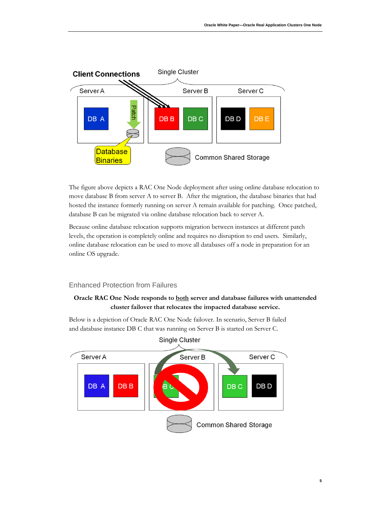

The figure above depicts a RAC One Node deployment after using online database relocation to move database B from server A to server B. After the migration, the database binaries that had hosted the instance formerly running on server A remain available for patching. Once patched, database B can be migrated via online database relocation back to server A.

Because online database relocation supports migration between instances at different patch levels, the operation is completely online and requires no disruption to end users. Similarly, online database relocation can be used to move all databases off a node in preparation for an online OS upgrade.

#### <span id="page-6-0"></span>Enhanced Protection from Failures

## **Oracle RAC One Node responds to both server and database failures with unattended cluster failover that relocates the impacted database service.**

Below is a depiction of Oracle RAC One Node failover. In scenario, Server B failed and database instance DB C that was running on Server B is started on Server C.

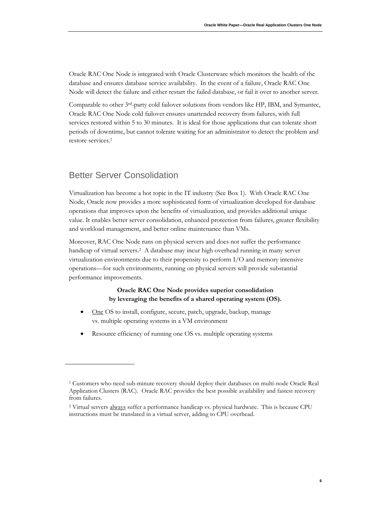Oracle RAC One Node is integrated with Oracle Clusterware which monitors the health of the database and ensures database service availability. In the event of a failure, Oracle RAC One Node will detect the failure and either restart the failed database, or fail it over to another server.

Comparable to other 3rd-party cold failover solutions from vendors like HP, IBM, and Symantec, Oracle RAC One Node cold failover ensures unattended recovery from failures, with full services restored within 5 to 30 minutes. It is ideal for those applications that can tolerate short periods of downtime, but cannot tolerate waiting for an administrator to detect the problem and restore services.<sup>1</sup>

## <span id="page-7-0"></span>Better Server Consolidation

Virtualization has become a hot topic in the IT industry (See Box 1). With Oracle RAC One Node, Oracle now provides a more sophisticated form of virtualization developed for database operations that improves upon the benefits of virtualization, and provides additional unique value. It enables better server consolidation, enhanced protection from failures, greater flexibility and workload management, and better online maintenance than VMs.

Moreover, RAC One Node runs on physical servers and does not suffer the performance handicap of virtual servers.<sup>2</sup> A database may incur high overhead running in many server virtualization environments due to their propensity to perform I/O and memory intensive operations—for such environments, running on physical servers will provide substantial performance improvements.

### **Oracle RAC One Node provides superior consolidation by leveraging the benefits of a shared operating system (OS).**

- One OS to install, configure, secure, patch, upgrade, backup, manage vs. multiple operating systems in a VM environment
- Resource efficiency of running one OS vs. multiple operating systems

<sup>1</sup> Customers who need sub-minute recovery should deploy their databases on multi-node Oracle Real Application Clusters (RAC). Oracle RAC provides the best possible availability and fastest recovery from failures.

<sup>&</sup>lt;sup>2</sup> Virtual servers always suffer a performance handicap vs. physical hardware. This is because CPU instructions must be translated in a virtual server, adding to CPU overhead.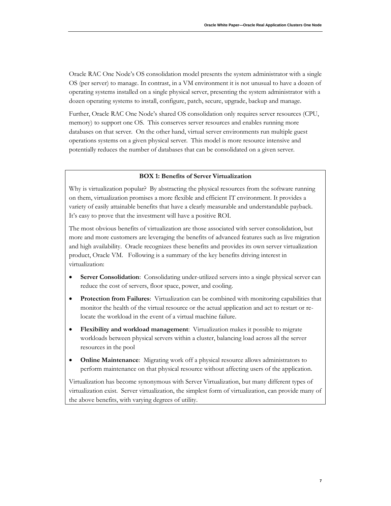Oracle RAC One Node's OS consolidation model presents the system administrator with a single OS (per server) to manage. In contrast, in a VM environment it is not unusual to have a dozen of operating systems installed on a single physical server, presenting the system administrator with a dozen operating systems to install, configure, patch, secure, upgrade, backup and manage.

Further, Oracle RAC One Node's shared OS consolidation only requires server resources (CPU, memory) to support one OS. This conserves server resources and enables running more databases on that server. On the other hand, virtual server environments run multiple guest operations systems on a given physical server. This model is more resource intensive and potentially reduces the number of databases that can be consolidated on a given server.

#### **BOX 1: Benefits of Server Virtualization**

Why is virtualization popular? By abstracting the physical resources from the software running on them, virtualization promises a more flexible and efficient IT environment. It provides a variety of easily attainable benefits that have a clearly measurable and understandable payback. It's easy to prove that the investment will have a positive ROI.

The most obvious benefits of virtualization are those associated with server consolidation, but more and more customers are leveraging the benefits of advanced features such as live migration and high availability. Oracle recognizes these benefits and provides its own server virtualization product, Oracle VM. Following is a summary of the key benefits driving interest in virtualization:

- **Server Consolidation**: Consolidating under-utilized servers into a single physical server can reduce the cost of servers, floor space, power, and cooling.
- **Protection from Failures**: Virtualization can be combined with monitoring capabilities that monitor the health of the virtual resource or the actual application and act to restart or relocate the workload in the event of a virtual machine failure.
- **Flexibility and workload management**: Virtualization makes it possible to migrate workloads between physical servers within a cluster, balancing load across all the server resources in the pool
- **Online Maintenance**: Migrating work off a physical resource allows administrators to perform maintenance on that physical resource without affecting users of the application.

Virtualization has become synonymous with Server Virtualization, but many different types of virtualization exist. Server virtualization, the simplest form of virtualization, can provide many of the above benefits, with varying degrees of utility.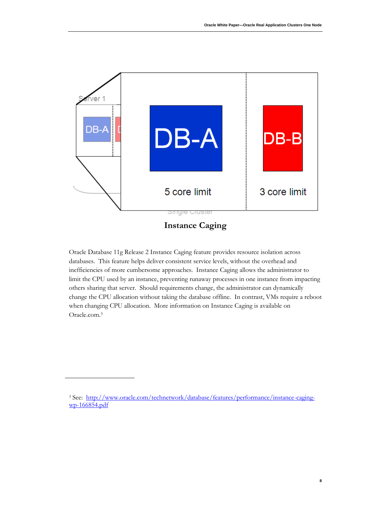

**Instance Caging**

Oracle Database 11g Release 2 Instance Caging feature provides resource isolation across databases. This feature helps deliver consistent service levels, without the overhead and inefficiencies of more cumbersome approaches. Instance Caging allows the administrator to limit the CPU used by an instance, preventing runaway processes in one instance from impacting others sharing that server. Should requirements change, the administrator can dynamically change the CPU allocation without taking the database offline. In contrast, VMs require a reboot when changing CPU allocation. More information on Instance Caging is available on Oracle.com.<sup>3</sup>

<sup>&</sup>lt;sup>3</sup> See: [http://www.oracle.com/technetwork/database/features/performance/instance-caging](http://www.oracle.com/technetwork/database/features/performance/instance-caging-wp-166854.pdf)[wp-166854.pdf](http://www.oracle.com/technetwork/database/features/performance/instance-caging-wp-166854.pdf)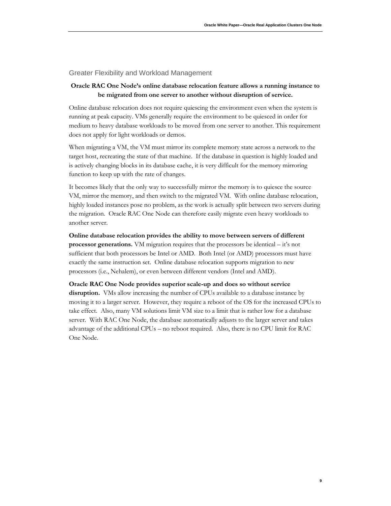#### <span id="page-10-0"></span>Greater Flexibility and Workload Management

### **Oracle RAC One Node's online database relocation feature allows a running instance to be migrated from one server to another without disruption of service.**

Online database relocation does not require quiescing the environment even when the system is running at peak capacity. VMs generally require the environment to be quiesced in order for medium to heavy database workloads to be moved from one server to another. This requirement does not apply for light workloads or demos.

When migrating a VM, the VM must mirror its complete memory state across a network to the target host, recreating the state of that machine. If the database in question is highly loaded and is actively changing blocks in its database cache, it is very difficult for the memory mirroring function to keep up with the rate of changes.

It becomes likely that the only way to successfully mirror the memory is to quiesce the source VM, mirror the memory, and then switch to the migrated VM. With online database relocation, highly loaded instances pose no problem, as the work is actually split between two servers during the migration. Oracle RAC One Node can therefore easily migrate even heavy workloads to another server.

**Online database relocation provides the ability to move between servers of different processor generations.** VM migration requires that the processors be identical – it's not sufficient that both processors be Intel or AMD. Both Intel (or AMD) processors must have exactly the same instruction set. Online database relocation supports migration to new processors (i.e., Nehalem), or even between different vendors (Intel and AMD).

#### **Oracle RAC One Node provides superior scale-up and does so without service**

**disruption.** VMs allow increasing the number of CPUs available to a database instance by moving it to a larger server. However, they require a reboot of the OS for the increased CPUs to take effect. Also, many VM solutions limit VM size to a limit that is rather low for a database server. With RAC One Node, the database automatically adjusts to the larger server and takes advantage of the additional CPUs – no reboot required. Also, there is no CPU limit for RAC One Node.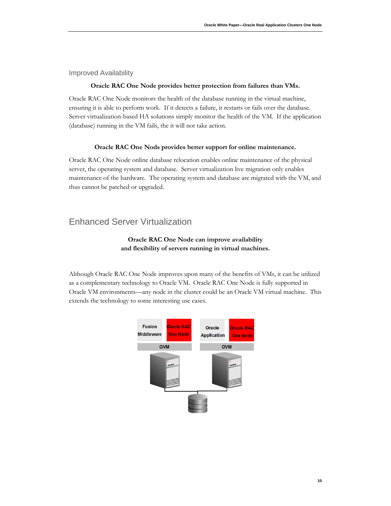<span id="page-11-0"></span>Improved Availability

#### **Oracle RAC One Node provides better protection from failures than VMs.**

Oracle RAC One Node monitors the health of the database running in the virtual machine, ensuring it is able to perform work. If it detects a failure, it restarts or fails over the database. Server virtualization-based HA solutions simply monitor the health of the VM. If the application (database) running in the VM fails, the it will not take action.

#### **Oracle RAC One Nods provides better support for online maintenance.**

Oracle RAC One Node online database relocation enables online maintenance of the physical server, the operating system and database. Server virtualization live migration only enables maintenance of the hardware. The operating system and database are migrated with the VM, and thus cannot be patched or upgraded.

## <span id="page-11-1"></span>Enhanced Server Virtualization

## **Oracle RAC One Node can improve availability and flexibility of servers running in virtual machines.**

Although Oracle RAC One Node improves upon many of the benefits of VMs, it can be utilized as a complementary technology to Oracle VM. Oracle RAC One Node is fully supported in Oracle VM environments—any node in the cluster could be an Oracle VM virtual machine. This extends the technology to some interesting use cases.

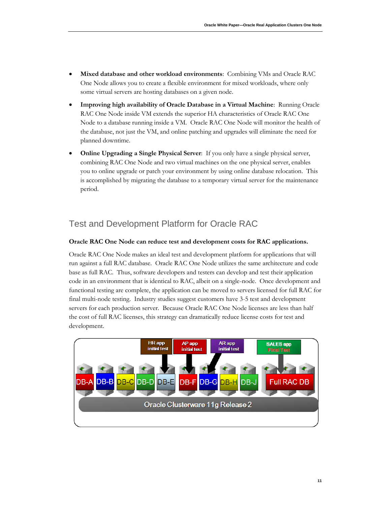- **Mixed database and other workload environments**: Combining VMs and Oracle RAC One Node allows you to create a flexible environment for mixed workloads, where only some virtual servers are hosting databases on a given node.
- **Improving high availability of Oracle Database in a Virtual Machine**: Running Oracle RAC One Node inside VM extends the superior HA characteristics of Oracle RAC One Node to a database running inside a VM. Oracle RAC One Node will monitor the health of the database, not just the VM, and online patching and upgrades will eliminate the need for planned downtime.
- **Online Upgrading a Single Physical Server**: If you only have a single physical server, combining RAC One Node and two virtual machines on the one physical server, enables you to online upgrade or patch your environment by using online database relocation. This is accomplished by migrating the database to a temporary virtual server for the maintenance period.

# <span id="page-12-0"></span>Test and Development Platform for Oracle RAC

#### **Oracle RAC One Node can reduce test and development costs for RAC applications.**

Oracle RAC One Node makes an ideal test and development platform for applications that will run against a full RAC database. Oracle RAC One Node utilizes the same architecture and code base as full RAC. Thus, software developers and testers can develop and test their application code in an environment that is identical to RAC, albeit on a single-node. Once development and functional testing are complete, the application can be moved to servers licensed for full RAC for final multi-node testing. Industry studies suggest customers have 3-5 test and development servers for each production server. Because Oracle RAC One Node licenses are less than half the cost of full RAC licenses, this strategy can dramatically reduce license costs for test and development.

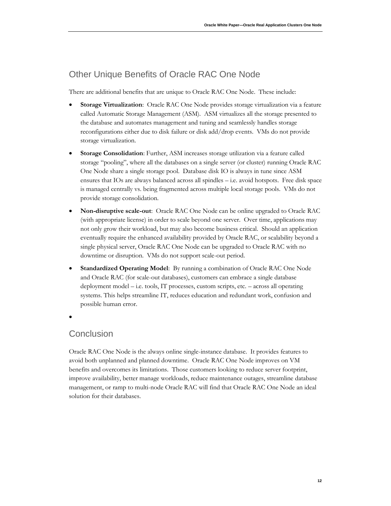# <span id="page-13-0"></span>Other Unique Benefits of Oracle RAC One Node

There are additional benefits that are unique to Oracle RAC One Node. These include:

- **Storage Virtualization**: Oracle RAC One Node provides storage virtualization via a feature called Automatic Storage Management (ASM). ASM virtualizes all the storage presented to the database and automates management and tuning and seamlessly handles storage reconfigurations either due to disk failure or disk add/drop events. VMs do not provide storage virtualization.
- **Storage Consolidation**: Further, ASM increases storage utilization via a feature called storage "pooling", where all the databases on a single server (or cluster) running Oracle RAC One Node share a single storage pool. Database disk IO is always in tune since ASM ensures that IOs are always balanced across all spindles – i.e. avoid hotspots. Free disk space is managed centrally vs. being fragmented across multiple local storage pools. VMs do not provide storage consolidation.
- **Non-disruptive scale-out**: Oracle RAC One Node can be online upgraded to Oracle RAC (with appropriate license) in order to scale beyond one server. Over time, applications may not only grow their workload, but may also become business critical. Should an application eventually require the enhanced availability provided by Oracle RAC, or scalability beyond a single physical server, Oracle RAC One Node can be upgraded to Oracle RAC with no downtime or disruption. VMs do not support scale-out period.
- **Standardized Operating Model**: By running a combination of Oracle RAC One Node and Oracle RAC (for scale-out databases), customers can embrace a single database deployment model – i.e. tools, IT processes, custom scripts, etc. – across all operating systems. This helps streamline IT, reduces education and redundant work, confusion and possible human error.
- $\bullet$

## <span id="page-13-1"></span>**Conclusion**

Oracle RAC One Node is the always online single-instance database. It provides features to avoid both unplanned and planned downtime. Oracle RAC One Node improves on VM benefits and overcomes its limitations. Those customers looking to reduce server footprint, improve availability, better manage workloads, reduce maintenance outages, streamline database management, or ramp to multi-node Oracle RAC will find that Oracle RAC One Node an ideal solution for their databases.